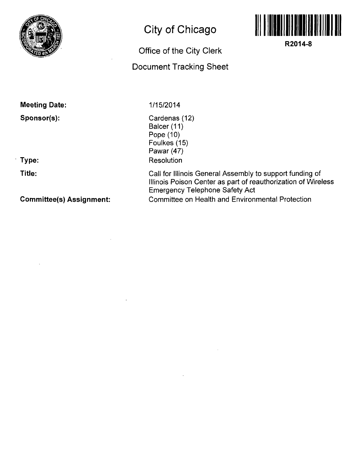

## **City of Chicago**

## **Office of the City Clerk Document Tracking Sheet**



**R2014-8** 

**Meeting Date: Sponsor(s):** 

**Type:** 

**Title:** 

**Committee(s) Assignment:** 

## **1/15/2014**

Cardenas (12) Balcer (11) Pope (10) Foulkes (15) Pawar (47) Resolution

Call for Illinois General Assembly to support funding of Illinois Poison Center as part of reauthorization of Wireless Emergency Telephone Safety Act Committee on Health and Environmental Protection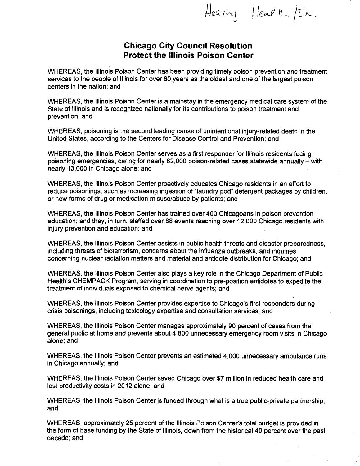Hearing Health /En.

## **Chicago City Council Resolution Protect the Illinois Poison Center**

WHEREAS, the Illinois Poison Center has been providing timely poison prevention and treatment services to the people of Illinois for over 60 years as the oldest and one of the largest poison centers in the nation; and

WHEREAS, the Illinois Poison Center is a mainstay in the emergency medical care system of the State of Illinois and is recognized nationally for its contributions to poison treatment and prevention; and

WHEREAS, poisoning is the second leading cause of unintentional injury-related death in the United States, according to the Centers for Disease Control and Prevention; and

WHEREAS, the Illinois Poison Center serves as a first responder for Illinois residents facing poisoning emergencies, caring for nearly 82,000 poison-related cases statewide annually - with nearly 13,000 in Chicago alone; and

WHEREAS, the Illinois Poison Center proactively educates Chicago residents in an effort to reduce poisonings, such as increasing ingestion of "laundry pod" detergent packages by children, or new forms of drug or medication misuse/abuse by patients; and

WHEREAS, the Illinois Poison Center has trained over 400 Chicagoans in poison prevention education; and they, in turn, staffed over 88 events reaching over 12,000 Chicago residents with injury prevention and education; and

WHEREAS, the Illinois Poison Center assists in public health threats and disaster preparedness, including threats of bioterrorism, concerns about the influenza outbreaks, and inquiries concerning nuclear radiation matters and material and antidote distribution for Chicago; and

WHEREAS, the Illinois Poison Center also plays a key role in the Chicago Department of Public Health's CHEMPACK Program, serving in coordination to pre-position antidotes to expedite the treatment of individuals exposed to chemical nerve agents; and

WHEREAS, the Illinois Poison Center provides expertise to Chicago's first responders during crisis poisonings, including toxicology expertise and consultation services; and

WHEREAS, the Illinois Poison Center manages approximately 90 percent of cases from the general public at home and prevents about 4,800 unnecessary emergency room visits in Chicago alone; and

WHEREAS, the Illinois Poison Center prevents an estimated 4,000 unnecessary ambulance runs in Chicago annually; and

WHEREAS, the Illinois Poison Center saved Chicago over \$7 million in reduced health care and lost productivity costs in 2012 alone; and

WHEREAS, the Illinois Poison Center is funded through what is a true public-private partnership; and

WHEREAS, approximately 25 percent of the Illinois Poison Center's total budget is provided in the form of base funding by the State of Illinois, down from the historical 40 percent over the past decade; and